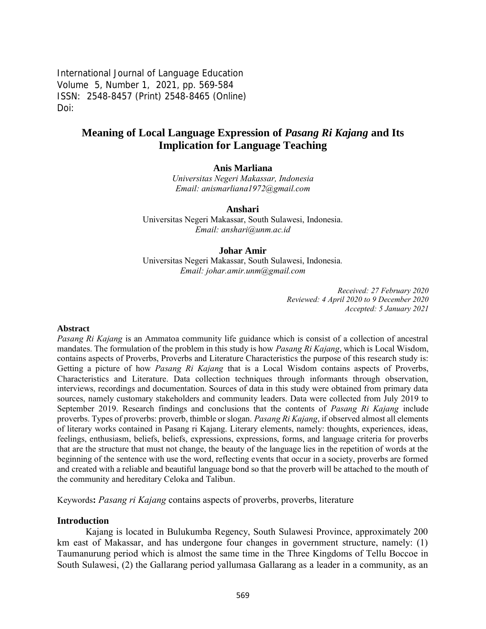International Journal of Language Education Volume 5, Number 1, 2021, pp. 569-584 ISSN: 2548-8457 (Print) 2548-8465 (Online) Doi:

# **Meaning of Local Language Expression of** *Pasang Ri Kajang* **and Its Implication for Language Teaching**

#### **Anis Marliana**

*Universitas Negeri Makassar, Indonesia Email: [anismarliana1972@gmail.com](mailto:anismarliana1972@gmail.com)*

**Anshari**

Universitas Negeri Makassar, South Sulawesi, Indonesia. *Email: [anshari@unm.ac.id](mailto:anshari@unm.ac.id)*

#### **Johar Amir**

Universitas Negeri Makassar, South Sulawesi, Indonesia*. Email: johar.amir.unm@gmail.com*

> *Received: 27 February 2020 Reviewed: 4 April 2020 to 9 December 2020 Accepted: 5 January 2021*

#### **Abstract**

*Pasang Ri Kajang* is an Ammatoa community life guidance which is consist of a collection of ancestral mandates. The formulation of the problem in this study is how *Pasang Ri Kajang*, which is Local Wisdom, contains aspects of Proverbs, Proverbs and Literature Characteristics the purpose of this research study is: Getting a picture of how *Pasang Ri Kajang* that is a Local Wisdom contains aspects of Proverbs, Characteristics and Literature. Data collection techniques through informants through observation, interviews, recordings and documentation. Sources of data in this study were obtained from primary data sources, namely customary stakeholders and community leaders. Data were collected from July 2019 to September 2019. Research findings and conclusions that the contents of *Pasang Ri Kajang* include proverbs. Types of proverbs: proverb, thimble or slogan. *Pasang Ri Kajang*, if observed almost all elements of literary works contained in Pasang ri Kajang. Literary elements, namely: thoughts, experiences, ideas, feelings, enthusiasm, beliefs, beliefs, expressions, expressions, forms, and language criteria for proverbs that are the structure that must not change, the beauty of the language lies in the repetition of words at the beginning of the sentence with use the word, reflecting events that occur in a society, proverbs are formed and created with a reliable and beautiful language bond so that the proverb will be attached to the mouth of the community and hereditary Celoka and Talibun.

Keywords**:** *Pasang ri Kajang* contains aspects of proverbs, proverbs, literature

#### **Introduction**

Kajang is located in Bulukumba Regency, South Sulawesi Province, approximately 200 km east of Makassar, and has undergone four changes in government structure, namely: (1) Taumanurung period which is almost the same time in the Three Kingdoms of Tellu Boccoe in South Sulawesi, (2) the Gallarang period yallumasa Gallarang as a leader in a community, as an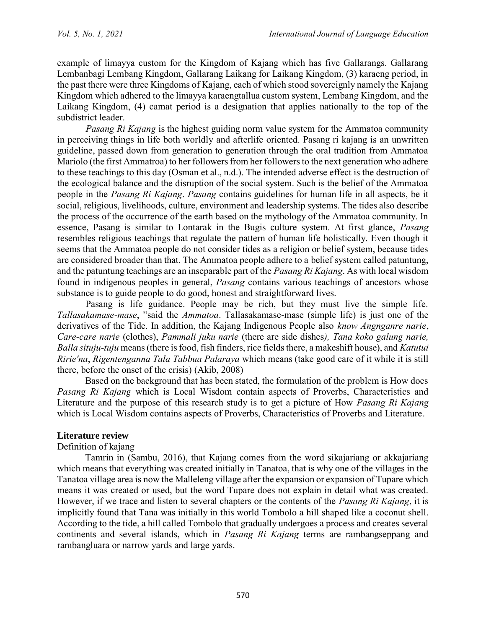example of limayya custom for the Kingdom of Kajang which has five Gallarangs. Gallarang Lembanbagi Lembang Kingdom, Gallarang Laikang for Laikang Kingdom, (3) karaeng period, in the past there were three Kingdoms of Kajang, each of which stood sovereignly namely the Kajang Kingdom which adhered to the limayya karaengtallua custom system, Lembang Kingdom, and the Laikang Kingdom, (4) camat period is a designation that applies nationally to the top of the subdistrict leader.

*Pasang Ri Kajang* is the highest guiding norm value system for the Ammatoa community in perceiving things in life both worldly and afterlife oriented. Pasang ri kajang is an unwritten guideline, passed down from generation to generation through the oral tradition from Ammatoa Mariolo (the first Ammatroa) to her followers from her followers to the next generation who adhere to these teachings to this day (Osman et al., n.d.). The intended adverse effect is the destruction of the ecological balance and the disruption of the social system. Such is the belief of the Ammatoa people in the *Pasang Ri Kajang*. *Pasang* contains guidelines for human life in all aspects, be it social, religious, livelihoods, culture, environment and leadership systems. The tides also describe the process of the occurrence of the earth based on the mythology of the Ammatoa community. In essence, Pasang is similar to Lontarak in the Bugis culture system. At first glance, *Pasang* resembles religious teachings that regulate the pattern of human life holistically. Even though it seems that the Ammatoa people do not consider tides as a religion or belief system, because tides are considered broader than that. The Ammatoa people adhere to a belief system called patuntung, and the patuntung teachings are an inseparable part of the *Pasang Ri Kajang*. As with local wisdom found in indigenous peoples in general, *Pasang* contains various teachings of ancestors whose substance is to guide people to do good, honest and straightforward lives.

Pasang is life guidance. People may be rich, but they must live the simple life. *Tallasakamase-mase*, "said the *Ammatoa*. Tallasakamase-mase (simple life) is just one of the derivatives of the Tide. In addition, the Kajang Indigenous People also *know Angnganre narie*, *Care-care narie* (clothes), *Pammali juku narie* (there are side dishes*), Tana koko galung narie, Balla situju-tuju* means (there is food, fish finders, rice fields there, a makeshift house), and *Katutui Ririe'na*, *Rigentenganna Tala Tabbua Palaraya* which means (take good care of it while it is still there, before the onset of the crisis) (Akib, 2008)

Based on the background that has been stated, the formulation of the problem is How does *Pasang Ri Kajang* which is Local Wisdom contain aspects of Proverbs, Characteristics and Literature and the purpose of this research study is to get a picture of How *Pasang Ri Kajang* which is Local Wisdom contains aspects of Proverbs, Characteristics of Proverbs and Literature.

## **Literature review**

Definition of kajang

Tamrin in (Sambu, 2016), that Kajang comes from the word sikajariang or akkajariang which means that everything was created initially in Tanatoa, that is why one of the villages in the Tanatoa village area is now the Malleleng village after the expansion or expansion of Tupare which means it was created or used, but the word Tupare does not explain in detail what was created. However, if we trace and listen to several chapters or the contents of the *Pasang Ri Kajang*, it is implicitly found that Tana was initially in this world Tombolo a hill shaped like a coconut shell. According to the tide, a hill called Tombolo that gradually undergoes a process and creates several continents and several islands, which in *Pasang Ri Kajang* terms are rambangseppang and rambangluara or narrow yards and large yards.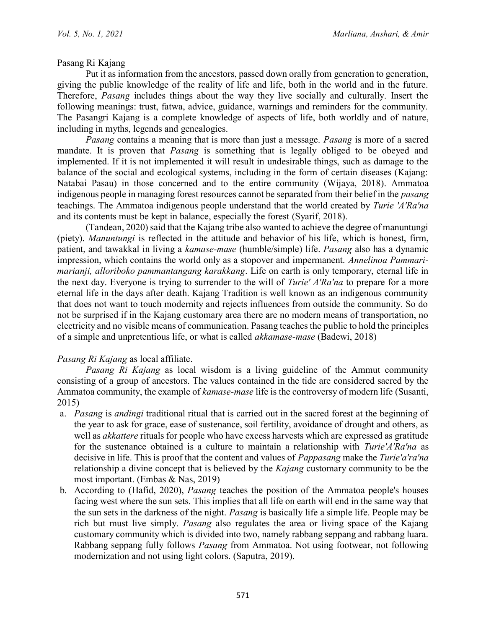Pasang Ri Kajang

Put it as information from the ancestors, passed down orally from generation to generation, giving the public knowledge of the reality of life and life, both in the world and in the future. Therefore, *Pasang* includes things about the way they live socially and culturally. Insert the following meanings: trust, fatwa, advice, guidance, warnings and reminders for the community. The Pasangri Kajang is a complete knowledge of aspects of life, both worldly and of nature, including in myths, legends and genealogies.

*Pasang* contains a meaning that is more than just a message. *Pasang* is more of a sacred mandate. It is proven that *Pasang* is something that is legally obliged to be obeyed and implemented. If it is not implemented it will result in undesirable things, such as damage to the balance of the social and ecological systems, including in the form of certain diseases (Kajang: Natabai Pasau) in those concerned and to the entire community (Wijaya, 2018). Ammatoa indigenous people in managing forest resources cannot be separated from their belief in the *pasang* teachings. The Ammatoa indigenous people understand that the world created by *Turie 'A'Ra'na* and its contents must be kept in balance, especially the forest (Syarif, 2018).

(Tandean, 2020) said that the Kajang tribe also wanted to achieve the degree of manuntungi (piety). *Manuntungi* is reflected in the attitude and behavior of his life, which is honest, firm, patient, and tawakkal in living a *kamase-mase* (humble/simple) life. *Pasang* also has a dynamic impression, which contains the world only as a stopover and impermanent. *Annelinoa Pammarimarianji, alloriboko pammantangang karakkang*. Life on earth is only temporary, eternal life in the next day. Everyone is trying to surrender to the will of *Turie' A'Ra'na* to prepare for a more eternal life in the days after death. Kajang Tradition is well known as an indigenous community that does not want to touch modernity and rejects influences from outside the community. So do not be surprised if in the Kajang customary area there are no modern means of transportation, no electricity and no visible means of communication. Pasang teaches the public to hold the principles of a simple and unpretentious life, or what is called *akkamase-mase* (Badewi, 2018)

## *Pasang Ri Kajang* as local affiliate.

*Pasang Ri Kajang* as local wisdom is a living guideline of the Ammut community consisting of a group of ancestors. The values contained in the tide are considered sacred by the Ammatoa community, the example of *kamase-mase* life is the controversy of modern life (Susanti, 2015)

- a. *Pasang* is *andingi* traditional ritual that is carried out in the sacred forest at the beginning of the year to ask for grace, ease of sustenance, soil fertility, avoidance of drought and others, as well as *akkattere* rituals for people who have excess harvests which are expressed as gratitude for the sustenance obtained is a culture to maintain a relationship with *Turie'A'Ra'na* as decisive in life. This is proof that the content and values of *Pappasang* make the *Turie'a'ra'na* relationship a divine concept that is believed by the *Kajang* customary community to be the most important. (Embas & Nas, 2019)
- b. According to (Hafid, 2020), *Pasang* teaches the position of the Ammatoa people's houses facing west where the sun sets. This implies that all life on earth will end in the same way that the sun sets in the darkness of the night. *Pasang* is basically life a simple life. People may be rich but must live simply. *Pasang* also regulates the area or living space of the Kajang customary community which is divided into two, namely rabbang seppang and rabbang luara. Rabbang seppang fully follows *Pasang* from Ammatoa. Not using footwear, not following modernization and not using light colors. (Saputra, 2019).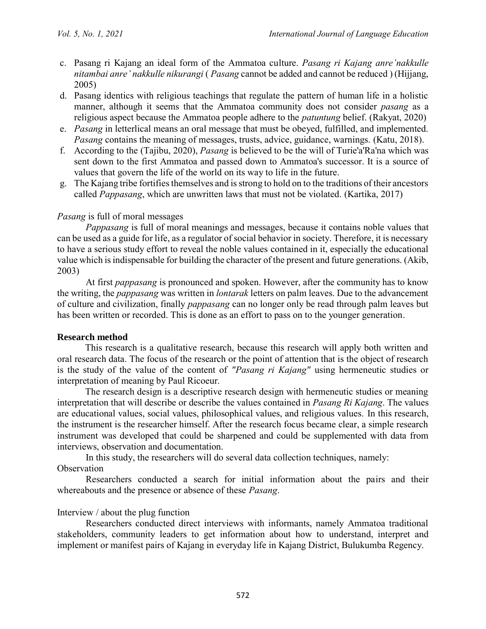- c. Pasang ri Kajang an ideal form of the Ammatoa culture. *Pasang ri Kajang anre'nakkulle nitambai anre' nakkulle nikurangi* ( *Pasang* cannot be added and cannot be reduced ) (Hijjang, 2005)
- d. Pasang identics with religious teachings that regulate the pattern of human life in a holistic manner, although it seems that the Ammatoa community does not consider *pasang* as a religious aspect because the Ammatoa people adhere to the *patuntung* belief. (Rakyat, 2020)
- e. *Pasang* in letterlical means an oral message that must be obeyed, fulfilled, and implemented. *Pasang* contains the meaning of messages, trusts, advice, guidance, warnings. (Katu, 2018).
- f. According to the (Tajibu, 2020), *Pasang* is believed to be the will of Turie'a'Ra'na which was sent down to the first Ammatoa and passed down to Ammatoa's successor. It is a source of values that govern the life of the world on its way to life in the future.
- g. The Kajang tribe fortifies themselves and is strong to hold on to the traditions of their ancestors called *Pappasang*, which are unwritten laws that must not be violated. (Kartika, 2017)

## *Pasang* is full of moral messages

*Pappasang* is full of moral meanings and messages, because it contains noble values that can be used as a guide for life, as a regulator of social behavior in society. Therefore, it is necessary to have a serious study effort to reveal the noble values contained in it, especially the educational value which is indispensable for building the character of the present and future generations. (Akib, 2003)

At first *pappasang* is pronounced and spoken. However, after the community has to know the writing, the *pappasang* was written in *lontarak* letters on palm leaves. Due to the advancement of culture and civilization, finally *pappasang* can no longer only be read through palm leaves but has been written or recorded. This is done as an effort to pass on to the younger generation.

## **Research method**

This research is a qualitative research, because this research will apply both written and oral research data. The focus of the research or the point of attention that is the object of research is the study of the value of the content of *"Pasang ri Kajang"* using hermeneutic studies or interpretation of meaning by Paul Ricoeur.

The research design is a descriptive research design with hermeneutic studies or meaning interpretation that will describe or describe the values contained in *Pasang Ri Kajang*. The values are educational values, social values, philosophical values, and religious values. In this research, the instrument is the researcher himself. After the research focus became clear, a simple research instrument was developed that could be sharpened and could be supplemented with data from interviews, observation and documentation.

In this study, the researchers will do several data collection techniques, namely: **Observation** 

Researchers conducted a search for initial information about the pairs and their whereabouts and the presence or absence of these *Pasang*.

## Interview / about the plug function

Researchers conducted direct interviews with informants, namely Ammatoa traditional stakeholders, community leaders to get information about how to understand, interpret and implement or manifest pairs of Kajang in everyday life in Kajang District, Bulukumba Regency.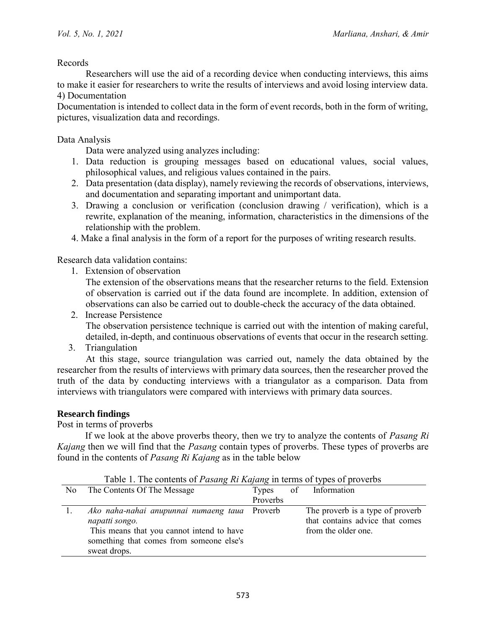Records

Researchers will use the aid of a recording device when conducting interviews, this aims to make it easier for researchers to write the results of interviews and avoid losing interview data. 4) Documentation

Documentation is intended to collect data in the form of event records, both in the form of writing, pictures, visualization data and recordings.

Data Analysis

Data were analyzed using analyzes including:

- 1. Data reduction is grouping messages based on educational values, social values, philosophical values, and religious values contained in the pairs.
- 2. Data presentation (data display), namely reviewing the records of observations, interviews, and documentation and separating important and unimportant data.
- 3. Drawing a conclusion or verification (conclusion drawing / verification), which is a rewrite, explanation of the meaning, information, characteristics in the dimensions of the relationship with the problem.
- 4. Make a final analysis in the form of a report for the purposes of writing research results.

Research data validation contains:

1. Extension of observation

The extension of the observations means that the researcher returns to the field. Extension of observation is carried out if the data found are incomplete. In addition, extension of observations can also be carried out to double-check the accuracy of the data obtained.

- 2. Increase Persistence The observation persistence technique is carried out with the intention of making careful, detailed, in-depth, and continuous observations of events that occur in the research setting.
- 3. Triangulation

At this stage, source triangulation was carried out, namely the data obtained by the researcher from the results of interviews with primary data sources, then the researcher proved the truth of the data by conducting interviews with a triangulator as a comparison. Data from interviews with triangulators were compared with interviews with primary data sources.

### **Research findings**

Post in terms of proverbs

If we look at the above proverbs theory, then we try to analyze the contents of *Pasang Ri Kajang* then we will find that the *Pasang* contain types of proverbs. These types of proverbs are found in the contents of *Pasang Ri Kajang* as in the table below

|                | Table 1. The contents of <i>Pasang KI Kajang</i> in terms of types of proveros |          |    |                                  |
|----------------|--------------------------------------------------------------------------------|----------|----|----------------------------------|
| N <sub>0</sub> | The Contents Of The Message                                                    | Types    | of | Information                      |
|                |                                                                                | Proverbs |    |                                  |
|                | Ako naha-nahai anupunnai numaeng taua Proverb                                  |          |    | The proverb is a type of proverb |
|                | napatti songo.                                                                 |          |    | that contains advice that comes  |
|                | This means that you cannot intend to have                                      |          |    | from the older one.              |
|                | something that comes from someone else's                                       |          |    |                                  |
|                | sweat drops.                                                                   |          |    |                                  |

Table 1. The contents of *Pasang Ri Kajang* in terms of types of proverbs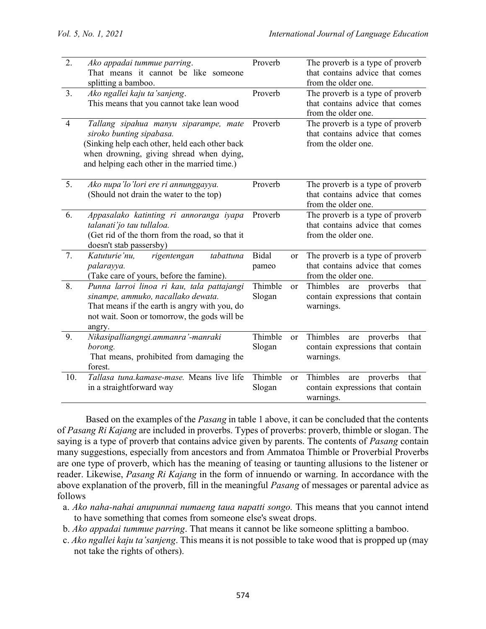| $\overline{2}$ . | Ako appadai tummue parring.<br>That means it cannot be like someone<br>splitting a bamboo.                                                                                                                      | Proverb               | The proverb is a type of proverb<br>that contains advice that comes<br>from the older one.       |
|------------------|-----------------------------------------------------------------------------------------------------------------------------------------------------------------------------------------------------------------|-----------------------|--------------------------------------------------------------------------------------------------|
| 3.               | Ako ngallei kaju ta'sanjeng.<br>This means that you cannot take lean wood                                                                                                                                       | Proverb               | The proverb is a type of proverb<br>that contains advice that comes<br>from the older one.       |
| $\overline{4}$   | Tallang sipahua manyu siparampe, mate<br>siroko bunting sipabasa.<br>(Sinking help each other, held each other back<br>when drowning, giving shread when dying,<br>and helping each other in the married time.) | Proverb               | The proverb is a type of proverb<br>that contains advice that comes<br>from the older one.       |
| 5.               | Ako nupa'lo'lori ere ri annunggayya.<br>(Should not drain the water to the top)                                                                                                                                 | Proverb               | The proverb is a type of proverb<br>that contains advice that comes<br>from the older one.       |
| 6.               | Appasalako katinting ri annoranga iyapa<br>talanati'jo tau tullaloa.<br>(Get rid of the thorn from the road, so that it<br>doesn't stab passersby)                                                              | Proverb               | The proverb is a type of proverb<br>that contains advice that comes<br>from the older one.       |
| 7.               | Katuturie'nu,<br>rigentengan<br>tabattuna<br>palarayya.<br>(Take care of yours, before the famine).                                                                                                             | <b>Bidal</b><br>pameo | The proverb is a type of proverb<br>or<br>that contains advice that comes<br>from the older one. |
| 8.               | Punna larroi linoa ri kau, tala pattajangi<br>sinampe, ammuko, nacallako dewata.<br>That means if the earth is angry with you, do<br>not wait. Soon or tomorrow, the gods will be<br>angry.                     | Thimble<br>Slogan     | Thimbles<br>are proverbs<br>that<br>or<br>contain expressions that contain<br>warnings.          |
| 9.               | Nikasipalliangngi.ammanra'-manraki<br>borong.<br>That means, prohibited from damaging the<br>forest.                                                                                                            | Thimble<br>Slogan     | Thimbles<br>proverbs<br>that<br>or<br>are<br>contain expressions that contain<br>warnings.       |
| 10.              | Tallasa tuna.kamase-mase. Means live life<br>in a straightforward way                                                                                                                                           | Thimble<br>Slogan     | Thimbles<br>proverbs<br>that<br>or<br>are<br>contain expressions that contain<br>warnings.       |

Based on the examples of the *Pasang* in table 1 above, it can be concluded that the contents of *Pasang Ri Kajang* are included in proverbs. Types of proverbs: proverb, thimble or slogan. The saying is a type of proverb that contains advice given by parents. The contents of *Pasang* contain many suggestions, especially from ancestors and from Ammatoa Thimble or Proverbial Proverbs are one type of proverb, which has the meaning of teasing or taunting allusions to the listener or reader. Likewise, *Pasang Ri Kajang* in the form of innuendo or warning. In accordance with the above explanation of the proverb, fill in the meaningful *Pasang* of messages or parental advice as follows

- a. *Ako naha-nahai anupunnai numaeng taua napatti songo.* This means that you cannot intend to have something that comes from someone else's sweat drops.
- b. *Ako appadai tummue parring*. That means it cannot be like someone splitting a bamboo.
- c. *Ako ngallei kaju ta'sanjeng*. This means it is not possible to take wood that is propped up (may not take the rights of others).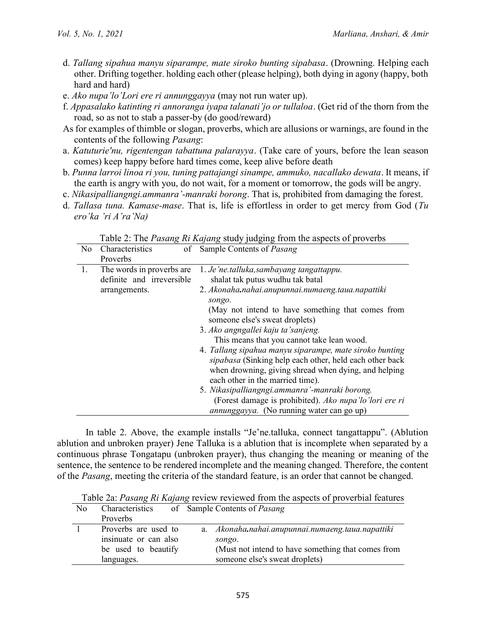- d. *Tallang sipahua manyu siparampe, mate siroko bunting sipabasa*. (Drowning. Helping each other. Drifting together. holding each other (please helping), both dying in agony (happy, both hard and hard)
- e. *Ako nupa'lo'Lori ere ri annunggayya* (may not run water up).
- f. *Appasalako katinting ri annoranga iyapa talanati'jo or tullaloa*. (Get rid of the thorn from the road, so as not to stab a passer-by (do good/reward)
- As for examples of thimble or slogan, proverbs, which are allusions or warnings, are found in the contents of the following *Pasang*:
- a. *Katuturie'nu, rigentengan tabattuna palarayya*. (Take care of yours, before the lean season comes) keep happy before hard times come, keep alive before death
- b. *Punna larroi linoa ri you, tuning pattajangi sinampe, ammuko, nacallako dewata*. It means, if the earth is angry with you, do not wait, for a moment or tomorrow, the gods will be angry.
- c. *Nikasipalliangngi.ammanra'-manraki borong*. That is, prohibited from damaging the forest.
- d. *Tallasa tuna. Kamase-mase*. That is, life is effortless in order to get mercy from God (*Tu ero'ka 'ri A'ra'Na)*

| No. | Characteristics<br>of     | Sample Contents of <i>Pasang</i>                        |  |
|-----|---------------------------|---------------------------------------------------------|--|
|     | Proverbs                  |                                                         |  |
| 1.  | The words in proverbs are | 1. Je'ne.talluka, sambayang tangattappu.                |  |
|     | definite and irreversible | shalat tak putus wudhu tak batal                        |  |
|     | arrangements.             | 2. Akonaha.nahai.anupunnai.numaeng.taua.napattiki       |  |
|     |                           | songo.                                                  |  |
|     |                           | (May not intend to have something that comes from       |  |
|     |                           | someone else's sweat droplets)                          |  |
|     |                           | 3. Ako angngallei kaju ta'sanjeng.                      |  |
|     |                           | This means that you cannot take lean wood.              |  |
|     |                           | 4. Tallang sipahua manyu siparampe, mate siroko bunting |  |
|     |                           | sipabasa (Sinking help each other, held each other back |  |
|     |                           | when drowning, giving shread when dying, and helping    |  |
|     |                           | each other in the married time).                        |  |
|     |                           | 5. Nikasipalliangngi.ammanra'-manraki borong.           |  |
|     |                           | (Forest damage is prohibited). Ako nupa'lo'lori ere ri  |  |
|     |                           | <i>annunggayya.</i> (No running water can go up)        |  |

Table 2: The *Pasang Ri Kajang* study judging from the aspects of proverbs

In table 2. Above, the example installs "Je'ne.talluka, connect tangattappu". (Ablution ablution and unbroken prayer) Jene Talluka is a ablution that is incomplete when separated by a continuous phrase Tongatapu (unbroken prayer), thus changing the meaning or meaning of the sentence, the sentence to be rendered incomplete and the meaning changed. Therefore, the content of the *Pasang*, meeting the criteria of the standard feature, is an order that cannot be changed.

Table 2a: *Pasang Ri Kajang* review reviewed from the aspects of proverbial features

| N <sub>0</sub> | Characteristics<br>Proverbs                                                        | of Sample Contents of Pasang                                                                                                                        |
|----------------|------------------------------------------------------------------------------------|-----------------------------------------------------------------------------------------------------------------------------------------------------|
|                | Proverbs are used to<br>insinuate or can also<br>be used to beautify<br>languages. | a. Akonaha.nahai.anupunnai.numaeng.taua.napattiki<br>songo.<br>(Must not intend to have something that comes from<br>someone else's sweat droplets) |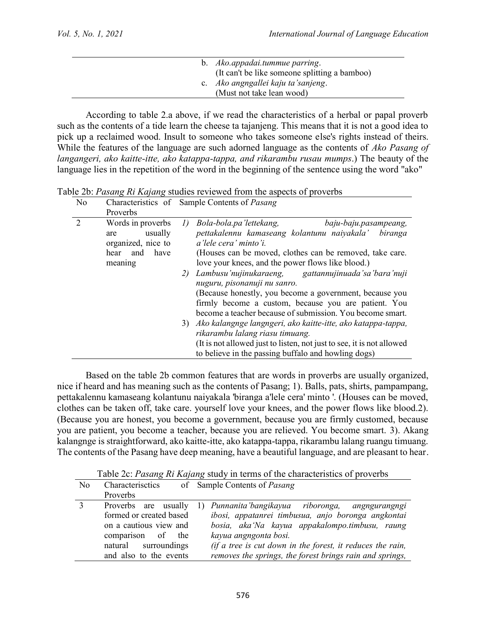|  | b. Ako.appadai.tummue parring.                                                                                   |
|--|------------------------------------------------------------------------------------------------------------------|
|  | (It can't be like someone splitting a bamboo)<br>c. Ako angngallei kaju ta'sanjeng.<br>(Must not take lean wood) |

According to table 2.a above, if we read the characteristics of a herbal or papal proverb such as the contents of a tide learn the cheese ta tajanjeng. This means that it is not a good idea to pick up a reclaimed wood. Insult to someone who takes someone else's rights instead of theirs. While the features of the language are such adorned language as the contents of *Ako Pasang of langangeri, ako kaitte-itte, ako katappa-tappa, and rikarambu rusau mumps*.) The beauty of the language lies in the repetition of the word in the beginning of the sentence using the word "ako"

| N <sub>0</sub>              |                                                   | Characteristics of Sample Contents of Pasang                                                                                                                                 |
|-----------------------------|---------------------------------------------------|------------------------------------------------------------------------------------------------------------------------------------------------------------------------------|
|                             | Proverbs                                          |                                                                                                                                                                              |
| $\mathcal{D}_{\mathcal{L}}$ | Words in proverbs<br>usually<br>are               | Bola-bola.pa'lettekang,<br>baju-baju.pasampeang,<br>I)<br>pettakalennu kamaseang kolantunu naiyakala' biranga                                                                |
|                             | organized, nice to<br>have<br>hear and<br>meaning | a'lele cera' minto'i.<br>(Houses can be moved, clothes can be removed, take care.<br>love your knees, and the power flows like blood.)                                       |
|                             |                                                   | Lambusu'nujinukaraeng, gattannujinuada'sa'bara'nuji<br>2)<br>nuguru, pisonanuji nu sanro.                                                                                    |
|                             |                                                   | (Because honestly, you become a government, because you<br>firmly become a custom, because you are patient. You<br>become a teacher because of submission. You become smart. |
|                             |                                                   | 3) Ako kalangnge langngeri, ako kaitte-itte, ako katappa-tappa,<br>rikarambu lalang riasu timuang.                                                                           |
|                             |                                                   | (It is not allowed just to listen, not just to see, it is not allowed<br>to believe in the passing buffalo and howling dogs)                                                 |

Table 2b: *Pasang Ri Kajang* studies reviewed from the aspects of proverbs

Based on the table 2b common features that are words in proverbs are usually organized, nice if heard and has meaning such as the contents of Pasang; 1). Balls, pats, shirts, pampampang, pettakalennu kamaseang kolantunu naiyakala 'biranga a'lele cera' minto '. (Houses can be moved, clothes can be taken off, take care. yourself love your knees, and the power flows like blood.2). (Because you are honest, you become a government, because you are firmly customed, because you are patient, you become a teacher, because you are relieved. You become smart. 3). Akang kalangnge is straightforward, ako kaitte-itte, ako katappa-tappa, rikarambu lalang ruangu timuang. The contents of the Pasang have deep meaning, have a beautiful language, and are pleasant to hear.

Table 2c: *Pasang Ri Kajang* study in terms of the characteristics of proverbs

| No | Characterisctics        | of Sample Contents of <i>Pasang</i>                           |
|----|-------------------------|---------------------------------------------------------------|
|    | Proverbs                |                                                               |
|    | Proverbs are<br>usually | Punnanita'bangikayua riboronga, angngurangngi<br>$\mathbf{D}$ |
|    | formed or created based | ibosi, appatanrei timbusua, anjo boronga angkontai            |
|    | on a cautious view and  | bosia, aka'Na kayua appakalompo.timbusu, raung                |
|    | comparison of<br>the    | kayua angngonta bosi.                                         |
|    | natural surroundings    | (if a tree is cut down in the forest, it reduces the rain,    |
|    | and also to the events  | removes the springs, the forest brings rain and springs,      |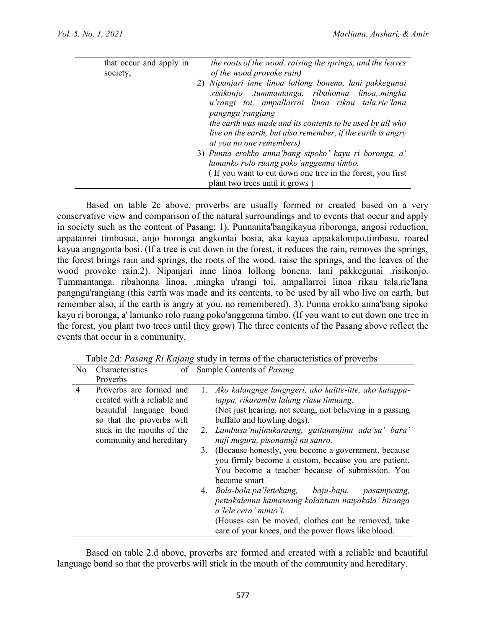| that occur and apply in<br>society, | the roots of the wood. raising the springs, and the leaves<br>of the wood provoke rain)                                                                                                                                                                                                                                                    |
|-------------------------------------|--------------------------------------------------------------------------------------------------------------------------------------------------------------------------------------------------------------------------------------------------------------------------------------------------------------------------------------------|
|                                     | 2) Nipanjari inne linoa lollong bonena, lani pakkegunai<br>risikonjo tummantanga ribahonna linoa, mingka<br>u'rangi toi, ampallarroi linoa rikau tala.rie'lana<br>pangngu'rangiang<br>the earth was made and its contents to be used by all who<br>live on the earth, but also remember, if the earth is angry<br>at you no one remembers) |
|                                     | 3) Punna erokko anna'bang sipoko' kayu ri boronga, a'<br>lamunko rolo ruang poko'anggenna timbo.                                                                                                                                                                                                                                           |
|                                     | (If you want to cut down one tree in the forest, you first<br>plant two trees until it grows)                                                                                                                                                                                                                                              |

Based on table 2c above, proverbs are usually formed or created based on a very conservative view and comparison of the natural surroundings and to events that occur and apply in society such as the content of Pasang; 1). Punnanita'bangikayua riboronga, angosi reduction, appatanrei timbusua, anjo boronga angkontai bosia, aka kayua appakalompo.timbusu, roared kayua angngonta bosi. (If a tree is cut down in the forest, it reduces the rain, removes the springs, the forest brings rain and springs, the roots of the wood. raise the springs, and the leaves of the wood provoke rain.2). Nipanjari inne linoa lollong bonena, lani pakkegunai .risikonjo. Tummantanga. ribahonna linoa, .mingka u'rangi toi, ampallarroi linoa rikau tala.rie'lana pangngu'rangiang (this earth was made and its contents, to be used by all who live on earth, but remember also, if the earth is angry at you, no remembered). 3). Punna erokko anna'bang sipoko kayu ri boronga, a' lamunko rolo ruang poko'anggenna timbo. (If you want to cut down one tree in the forest, you plant two trees until they grow) The three contents of the Pasang above reflect the events that occur in a community.

| N <sub>0</sub> | Characteristics                                                                                                | of Sample Contents of <i>Pasang</i>                                                                                                                                                                                                                                            |  |
|----------------|----------------------------------------------------------------------------------------------------------------|--------------------------------------------------------------------------------------------------------------------------------------------------------------------------------------------------------------------------------------------------------------------------------|--|
|                | Proverbs                                                                                                       |                                                                                                                                                                                                                                                                                |  |
| 4              | Proverbs are formed and<br>created with a reliable and<br>beautiful language bond<br>so that the proverbs will | 1. Ako kalangnge langngeri, ako kaitte-itte, ako katappa-<br>tappa, rikarambu lalang riasu timuang.<br>(Not just hearing, not seeing, not believing in a passing<br>buffalo and howling dogs).                                                                                 |  |
|                | stick in the mouths of the<br>community and hereditary                                                         | 2. Lambusu'nujinukaraeng, gattannujinu ada'sa' bara'<br>nuji nuguru, pisonanuji nu sanro.<br>3. (Because honestly, you become a government, because<br>you firmly become a custom, because you are patient.<br>You become a teacher because of submission. You<br>become smart |  |
|                |                                                                                                                | 4. Bola-bola.pa'lettekang, baju-baju.<br>pasampeang,<br>pettakalennu kamaseang kolantunu naiyakala' biranga<br>a'lele cera' minto'i.<br>(Houses can be moved, clothes can be removed, take<br>care of your knees, and the power flows like blood.                              |  |

Table 2d: *Pasang Ri Kajang* study in terms of the characteristics of proverbs

Based on table 2.d above, proverbs are formed and created with a reliable and beautiful language bond so that the proverbs will stick in the mouth of the community and hereditary.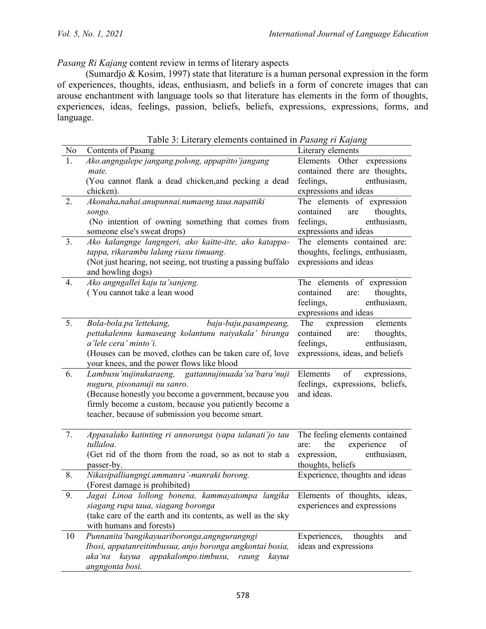*Pasang Ri Kajang* content review in terms of literary aspects

(Sumardjo & Kosim, 1997) state that literature is a human personal expression in the form of experiences, thoughts, ideas, enthusiasm, and beliefs in a form of concrete images that can arouse enchantment with language tools so that literature has elements in the form of thoughts, experiences, ideas, feelings, passion, beliefs, beliefs, expressions, expressions, forms, and language.

| N <sub>0</sub> | Contents of Pasang                                                                                | $\cdot$ $\sim$<br>Literary elements                               |
|----------------|---------------------------------------------------------------------------------------------------|-------------------------------------------------------------------|
| 1.             | Ako.angngalepe jangang.polong, appapitto'jangang                                                  | Elements Other expressions                                        |
|                | mate.                                                                                             | contained there are thoughts,                                     |
|                | (You cannot flank a dead chicken, and pecking a dead                                              | feelings,<br>enthusiasm,                                          |
|                | chicken).                                                                                         | expressions and ideas                                             |
| 2.             | Akonaha.nahai.anupunnai.numaeng.taua.napattiki                                                    | The elements of expression                                        |
|                | songo.                                                                                            | thoughts,<br>contained<br>are                                     |
|                | (No intention of owning something that comes from                                                 | feelings,<br>enthusiasm,                                          |
|                | someone else's sweat drops)                                                                       | expressions and ideas                                             |
| 3.             | Ako kalangnge langngeri, ako kaitte-itte, ako katappa-                                            | The elements contained are:                                       |
|                | tappa, rikarambu lalang riasu timuang.                                                            | thoughts, feelings, enthusiasm,                                   |
|                | (Not just hearing, not seeing, not trusting a passing buffalo<br>and howling dogs)                | expressions and ideas                                             |
| 4.             | Ako angngallei kaju ta'sanjeng.                                                                   | The elements of expression                                        |
|                | (You cannot take a lean wood                                                                      | thoughts,<br>contained<br>are:                                    |
|                |                                                                                                   | feelings,<br>enthusiasm,                                          |
|                |                                                                                                   | expressions and ideas                                             |
| 5.             | baju-baju.pasampeang,<br>Bola-bola.pa'lettekang,                                                  | The expression<br>elements                                        |
|                | pettakalennu kamaseang kolantunu naiyakala' biranga                                               | contained<br>are:<br>thoughts,                                    |
|                | a'lele cera' minto'i.                                                                             | feelings,<br>enthusiasm,                                          |
|                | (Houses can be moved, clothes can be taken care of, love                                          | expressions, ideas, and beliefs                                   |
| 6.             | your knees, and the power flows like blood<br>Lambusu'nujinukaraeng, gattannujinuada'sa'bara'nuji | Elements<br>of<br>expressions,                                    |
|                | nuguru, pisonanuji nu sanro.                                                                      | feelings, expressions, beliefs,                                   |
|                | (Because honestly you become a government, because you                                            | and ideas.                                                        |
|                | firmly become a custom, because you patiently become a                                            |                                                                   |
|                | teacher, because of submission you become smart.                                                  |                                                                   |
|                |                                                                                                   |                                                                   |
| 7.             | Appasalako katinting ri annoranga iyapa talanati'jo tau<br>tullaloa.                              | The feeling elements contained<br>experience<br>the<br>are:<br>of |
|                | (Get rid of the thorn from the road, so as not to stab a                                          | enthusiasm,<br>expression,                                        |
|                | passer-by.                                                                                        | thoughts, beliefs                                                 |
| 8.             | Nikasipalliangngi.ammanra'-manraki borong.                                                        | Experience, thoughts and ideas                                    |
|                | (Forest damage is prohibited)                                                                     |                                                                   |
| 9.             | Jagai Linoa lollong bonena, kammayatompa langika                                                  | Elements of thoughts, ideas,                                      |
|                | siagang rupa taua, siagang boronga                                                                | experiences and expressions                                       |
|                | (take care of the earth and its contents, as well as the sky                                      |                                                                   |
|                | with humans and forests)                                                                          |                                                                   |
| 10             | Punnanita' bangikayuari boronga, angngurangngi                                                    | Experiences,<br>thoughts<br>and                                   |
|                | Ibosi, appatanreitimbusua, anjo boronga angkontai bosia,                                          | ideas and expressions                                             |
|                | kayua<br>appakalompo.timbusu,<br>aka 'na<br>raung<br>kayua                                        |                                                                   |
|                | angngonta bosi.                                                                                   |                                                                   |

Table 3: Literary elements contained in *Pasang ri Kajang*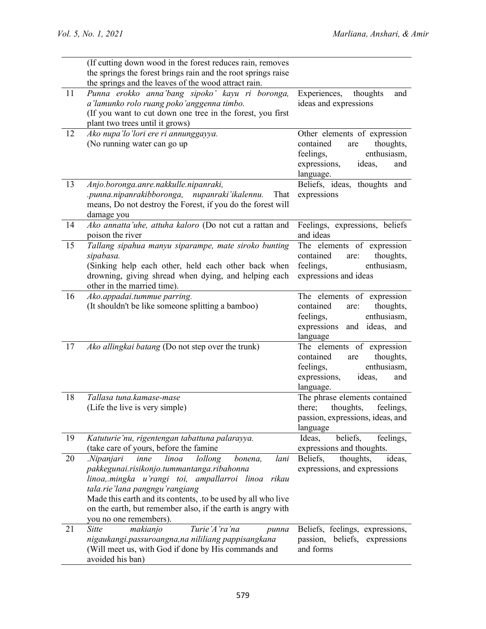|    | (If cutting down wood in the forest reduces rain, removes     |                                                        |
|----|---------------------------------------------------------------|--------------------------------------------------------|
|    | the springs the forest brings rain and the root springs raise |                                                        |
|    | the springs and the leaves of the wood attract rain.          |                                                        |
| 11 | Punna erokko anna'bang sipoko' kayu ri boronga,               | Experiences,<br>thoughts<br>and                        |
|    | a'lamunko rolo ruang poko'anggenna timbo.                     | ideas and expressions                                  |
|    | (If you want to cut down one tree in the forest, you first    |                                                        |
|    | plant two trees until it grows)                               |                                                        |
| 12 | Ako nupa'lo'lori ere ri annunggayya.                          | Other elements of expression                           |
|    | (No running water can go up                                   | contained<br>thoughts,<br>are                          |
|    |                                                               | feelings,<br>enthusiasm,                               |
|    |                                                               | ideas,<br>expressions,<br>and                          |
|    |                                                               | language.                                              |
| 13 | Anjo.boronga.anre.nakkulle.nipanraki,                         | Beliefs, ideas, thoughts and                           |
|    | .punna.nipanrakibboronga, nupanraki'ikalennu.<br>That         | expressions                                            |
|    | means, Do not destroy the Forest, if you do the forest will   |                                                        |
|    | damage you                                                    |                                                        |
| 14 | Ako annatta'uhe, attuha kaloro (Do not cut a rattan and       | Feelings, expressions, beliefs                         |
|    | poison the river                                              | and ideas                                              |
| 15 | Tallang sipahua manyu siparampe, mate siroko bunting          | The elements of expression                             |
|    | sipabasa.                                                     | contained<br>thoughts,<br>are:                         |
|    | (Sinking help each other, held each other back when           | enthusiasm,<br>feelings,                               |
|    | drowning, giving shread when dying, and helping each          | expressions and ideas                                  |
|    | other in the married time).                                   |                                                        |
| 16 | Ako.appadai.tummue parring.                                   | The elements of expression                             |
|    | (It shouldn't be like someone splitting a bamboo)             | contained<br>thoughts,<br>are:                         |
|    |                                                               | enthusiasm,<br>feelings,<br>expressions and ideas, and |
|    |                                                               | language                                               |
| 17 | Ako allingkai batang (Do not step over the trunk)             | The elements of expression                             |
|    |                                                               | contained<br>thoughts,<br>are                          |
|    |                                                               | feelings,<br>enthusiasm,                               |
|    |                                                               | expressions,<br>ideas,<br>and                          |
|    |                                                               | language.                                              |
| 18 | Tallasa tuna.kamase-mase                                      | The phrase elements contained                          |
|    | (Life the live is very simple)                                | thoughts,<br>there;<br>feelings,                       |
|    |                                                               | passion, expressions, ideas, and                       |
|    |                                                               | language                                               |
| 19 | Katuturie'nu, rigentengan tabattuna palarayya.                | beliefs,<br>feelings,<br>Ideas,                        |
|    | (take care of yours, before the famine)                       | expressions and thoughts.                              |
| 20 | lollong<br>Nipanjari.<br>linoa<br>lani<br>inne<br>bonena,     | thoughts,<br>Beliefs,<br>ideas,                        |
|    | pakkegunai.risikonjo.tummantanga.ribahonna                    | expressions, and expressions                           |
|    | linoa, mingka u'rangi toi, ampallarroi linoa<br>rikau         |                                                        |
|    | tala.rie'lana pangngu'rangiang                                |                                                        |
|    | Made this earth and its contents, to be used by all who live  |                                                        |
|    | on the earth, but remember also, if the earth is angry with   |                                                        |
|    | you no one remembers).                                        |                                                        |
| 21 | Turie'A'ra'na<br><b>Sitte</b><br>makianjo<br>punna            | Beliefs, feelings, expressions,                        |
|    | nigaukangi.passuroangna,na nililiang pappisangkana            | passion, beliefs, expressions                          |
|    | (Will meet us, with God if done by His commands and           | and forms                                              |
|    | avoided his ban)                                              |                                                        |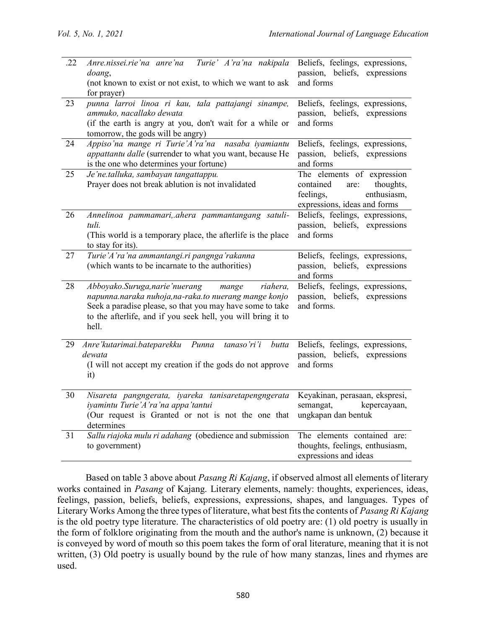| .22             | Anre.nissei.rie'na anre'na Turie' A'ra'na nakipala<br>doang,<br>(not known to exist or not exist, to which we want to ask                                                                                                                         | Beliefs, feelings, expressions,<br>passion, beliefs, expressions<br>and forms                                            |
|-----------------|---------------------------------------------------------------------------------------------------------------------------------------------------------------------------------------------------------------------------------------------------|--------------------------------------------------------------------------------------------------------------------------|
| 23              | for prayer)<br>punna larroi linoa ri kau, tala pattajangi sinampe,                                                                                                                                                                                | Beliefs, feelings, expressions,                                                                                          |
|                 | ammuko, nacallako dewata<br>(if the earth is angry at you, don't wait for a while or<br>tomorrow, the gods will be angry)                                                                                                                         | passion, beliefs, expressions<br>and forms                                                                               |
| 24              | Appiso'na mange ri Turie'A'ra'na<br>nasaba iyamiantu<br>appattantu dalle (surrender to what you want, because He<br>is the one who determines your fortune)                                                                                       | Beliefs, feelings, expressions,<br>passion, beliefs, expressions<br>and forms                                            |
| 25              | Je'ne.talluka, sambayan tangattappu.<br>Prayer does not break ablution is not invalidated                                                                                                                                                         | The elements of expression<br>contained<br>thoughts,<br>are:<br>enthusiasm,<br>feelings,<br>expressions, ideas and forms |
| 26              | Annelinoa pammamari, ahera pammantangang satuli-<br>tuli.<br>(This world is a temporary place, the afterlife is the place<br>to stay for its).                                                                                                    | Beliefs, feelings, expressions,<br>passion, beliefs, expressions<br>and forms                                            |
| 27              | Turie'A'ra'na ammantangi.ri pangnga'rakanna<br>(which wants to be incarnate to the authorities)                                                                                                                                                   | Beliefs, feelings, expressions,<br>passion, beliefs, expressions<br>and forms                                            |
| 28              | Abboyako.Suruga, narie'nuerang<br>riahera,<br>mange<br>napunna.naraka nuhoja,na-raka.to nuerang mange konjo<br>Seek a paradise please, so that you may have some to take<br>to the afterlife, and if you seek hell, you will bring it to<br>hell. | Beliefs, feelings, expressions,<br>passion, beliefs, expressions<br>and forms.                                           |
| 29              | Anre'kutarimai.bateparekku<br>Punna<br>tanaso'ri'i<br>butta<br>dewata<br>(I will not accept my creation if the gods do not approve<br>it)                                                                                                         | Beliefs, feelings, expressions,<br>passion, beliefs, expressions<br>and forms                                            |
| 30              | Nisareta pangngerata, iyareka tanisaretapengngerata<br>iyamintu Turie'A'ra'na appa'tantui<br>(Our request is Granted or not is not the one that<br>determines                                                                                     | Keyakinan, perasaan, ekspresi,<br>semangat,<br>kepercayaan,<br>ungkapan dan bentuk                                       |
| $\overline{31}$ | Sallu riajoka mulu ri adahang (obedience and submission<br>to government)                                                                                                                                                                         | The elements contained are:<br>thoughts, feelings, enthusiasm,<br>expressions and ideas                                  |

Based on table 3 above about *Pasang Ri Kajang*, if observed almost all elements of literary works contained in *Pasang* of Kajang. Literary elements, namely: thoughts, experiences, ideas, feelings, passion, beliefs, beliefs, expressions, expressions, shapes, and languages. Types of Literary Works Among the three types of literature, what best fits the contents of *Pasang Ri Kajang* is the old poetry type literature. The characteristics of old poetry are: (1) old poetry is usually in the form of folklore originating from the mouth and the author's name is unknown, (2) because it is conveyed by word of mouth so this poem takes the form of oral literature, meaning that it is not written, (3) Old poetry is usually bound by the rule of how many stanzas, lines and rhymes are used.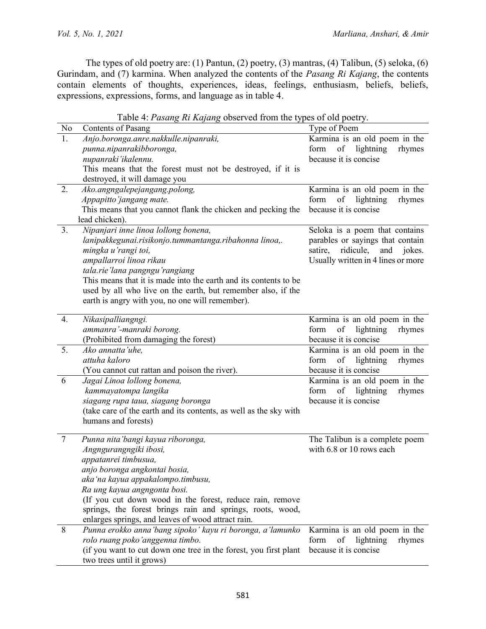The types of old poetry are: (1) Pantun, (2) poetry, (3) mantras, (4) Talibun, (5) seloka, (6) Gurindam, and (7) karmina. When analyzed the contents of the *Pasang Ri Kajang*, the contents contain elements of thoughts, experiences, ideas, feelings, enthusiasm, beliefs, beliefs, expressions, expressions, forms, and language as in table 4.

Table 4: *Pasang Ri Kajang* observed from the types of old poetry.

| No             | Contents of Pasang                                                 | Type of Poem                                               |
|----------------|--------------------------------------------------------------------|------------------------------------------------------------|
| 1.             | Anjo.boronga.anre.nakkulle.nipanraki,                              | Karmina is an old poem in the                              |
|                | punna.nipanrakibboronga,                                           | of lightning<br>form<br>rhymes                             |
|                | nupanraki'ikalennu.                                                | because it is concise                                      |
|                | This means that the forest must not be destroyed, if it is         |                                                            |
|                | destroyed, it will damage you                                      |                                                            |
| 2.             | Ako.angngalepejangang.polong,                                      | Karmina is an old poem in the                              |
|                | Appapitto'jangang mate.                                            | of<br>lightning<br>rhymes<br>form                          |
|                | This means that you cannot flank the chicken and pecking the       | because it is concise                                      |
|                | lead chicken).                                                     |                                                            |
| 3 <sub>1</sub> | Nipanjari inne linoa lollong bonena,                               | Seloka is a poem that contains                             |
|                | lanipakkegunai.risikonjo.tummantanga.ribahonna linoa,.             | parables or sayings that contain                           |
|                | mingka u'rangi toi,                                                | satire,<br>ridicule,<br>and<br>jokes.                      |
|                | ampallarroi linoa rikau                                            | Usually written in 4 lines or more                         |
|                | tala.rie'lana pangngu'rangiang                                     |                                                            |
|                | This means that it is made into the earth and its contents to be   |                                                            |
|                | used by all who live on the earth, but remember also, if the       |                                                            |
|                | earth is angry with you, no one will remember).                    |                                                            |
|                |                                                                    |                                                            |
| 4.             | Nikasipalliangngi.                                                 | Karmina is an old poem in the                              |
|                | ammanra'-manraki borong.                                           | of<br>lightning<br>rhymes<br>form                          |
|                | (Prohibited from damaging the forest)                              | because it is concise                                      |
| 5.             | Ako annatta'uhe.                                                   | Karmina is an old poem in the                              |
|                | attuha kaloro                                                      | form<br>of<br>lightning<br>rhymes                          |
|                | (You cannot cut rattan and poison the river).                      | because it is concise                                      |
| 6              | Jagai Linoa lollong bonena,                                        | Karmina is an old poem in the                              |
|                | kammayatompa langika                                               | form<br>of<br>lightning<br>rhymes                          |
|                | siagang rupa taua, siagang boronga                                 | because it is concise                                      |
|                | (take care of the earth and its contents, as well as the sky with  |                                                            |
|                | humans and forests)                                                |                                                            |
| $\overline{7}$ |                                                                    |                                                            |
|                | Punna nita'bangi kayua riboronga,                                  | The Talibun is a complete poem<br>with 6.8 or 10 rows each |
|                | Angngurangngiki ibosi,                                             |                                                            |
|                | appatanrei timbusua,                                               |                                                            |
|                | anjo boronga angkontai bosia,<br>aka'na kayua appakalompo.timbusu, |                                                            |
|                |                                                                    |                                                            |
|                | Ra ung kayua angngonta bosi.                                       |                                                            |
|                | (If you cut down wood in the forest, reduce rain, remove           |                                                            |
|                | springs, the forest brings rain and springs, roots, wood,          |                                                            |
| 8              | enlarges springs, and leaves of wood attract rain.                 |                                                            |
|                | Punna erokko anna'bang sipoko' kayu ri boronga, a'lamunko          | Karmina is an old poem in the                              |
|                | rolo ruang poko'anggenna timbo.                                    | lightning<br>form<br>of<br>rhymes                          |
|                | (if you want to cut down one tree in the forest, you first plant   | because it is concise                                      |
|                | two trees until it grows)                                          |                                                            |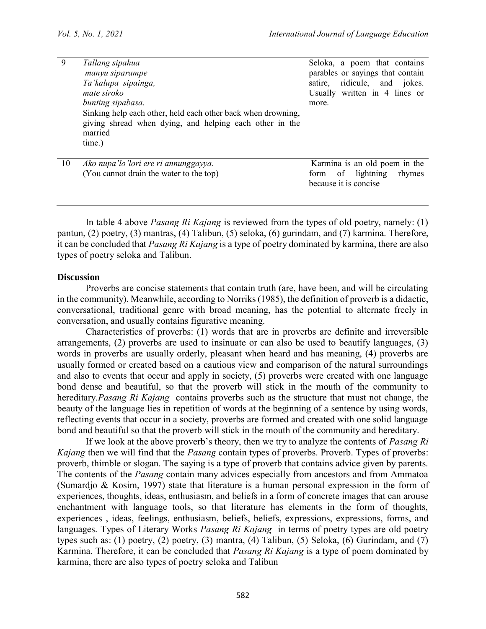| 9  | Tallang sipahua<br>manyu siparampe<br>Ta'kalupa sipainga,<br>mate siroko<br>bunting sipabasa.                                                | Seloka, a poem that contains<br>parables or sayings that contain<br>satire, ridicule, and jokes.<br>Usually written in 4 lines or<br>more. |
|----|----------------------------------------------------------------------------------------------------------------------------------------------|--------------------------------------------------------------------------------------------------------------------------------------------|
|    | Sinking help each other, held each other back when drowning,<br>giving shread when dying, and helping each other in the<br>married<br>time.) |                                                                                                                                            |
| 10 | Ako nupa'lo'lori ere ri annunggayya.                                                                                                         | Karmina is an old poem in the                                                                                                              |
|    | (You cannot drain the water to the top)                                                                                                      | lightning<br>rhymes<br><sub>of</sub><br>form                                                                                               |

because it is concise In table 4 above *Pasang Ri Kajang* is reviewed from the types of old poetry, namely: (1)

pantun, (2) poetry, (3) mantras, (4) Talibun, (5) seloka, (6) gurindam, and (7) karmina. Therefore, it can be concluded that *Pasang Ri Kajang* is a type of poetry dominated by karmina, there are also types of poetry seloka and Talibun.

### **Discussion**

Proverbs are concise statements that contain truth (are, have been, and will be circulating in the community). Meanwhile, according to Norriks (1985), the definition of proverb is a didactic, conversational, traditional genre with broad meaning, has the potential to alternate freely in conversation, and usually contains figurative meaning.

Characteristics of proverbs: (1) words that are in proverbs are definite and irreversible arrangements, (2) proverbs are used to insinuate or can also be used to beautify languages, (3) words in proverbs are usually orderly, pleasant when heard and has meaning, (4) proverbs are usually formed or created based on a cautious view and comparison of the natural surroundings and also to events that occur and apply in society, (5) proverbs were created with one language bond dense and beautiful, so that the proverb will stick in the mouth of the community to hereditary.*Pasang Ri Kajang* contains proverbs such as the structure that must not change, the beauty of the language lies in repetition of words at the beginning of a sentence by using words, reflecting events that occur in a society, proverbs are formed and created with one solid language bond and beautiful so that the proverb will stick in the mouth of the community and hereditary.

If we look at the above proverb's theory, then we try to analyze the contents of *Pasang Ri Kajang* then we will find that the *Pasang* contain types of proverbs. Proverb. Types of proverbs: proverb, thimble or slogan. The saying is a type of proverb that contains advice given by parents. The contents of the *Pasang* contain many advices especially from ancestors and from Ammatoa (Sumardjo & Kosim, 1997) state that literature is a human personal expression in the form of experiences, thoughts, ideas, enthusiasm, and beliefs in a form of concrete images that can arouse enchantment with language tools, so that literature has elements in the form of thoughts, experiences , ideas, feelings, enthusiasm, beliefs, beliefs, expressions, expressions, forms, and languages. Types of Literary Works *Pasang Ri Kajang* in terms of poetry types are old poetry types such as: (1) poetry, (2) poetry, (3) mantra, (4) Talibun, (5) Seloka, (6) Gurindam, and (7) Karmina. Therefore, it can be concluded that *Pasang Ri Kajang* is a type of poem dominated by karmina, there are also types of poetry seloka and Talibun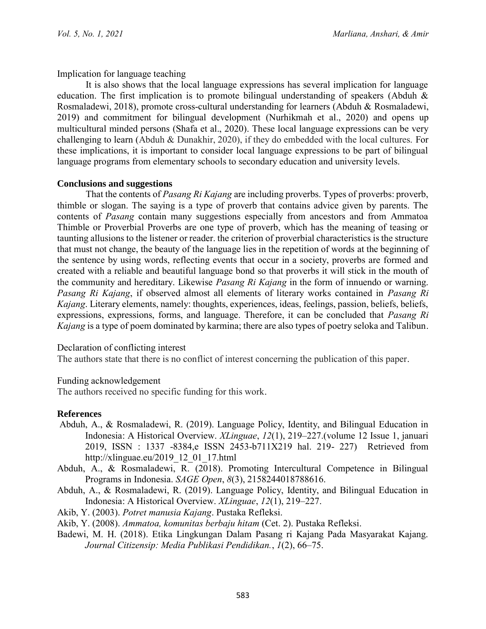Implication for language teaching

It is also shows that the local language expressions has several implication for language education. The first implication is to promote bilingual understanding of speakers (Abduh & Rosmaladewi, 2018), promote cross-cultural understanding for learners (Abduh & Rosmaladewi, 2019) and commitment for bilingual development (Nurhikmah et al., 2020) and opens up multicultural minded persons (Shafa et al., 2020). These local language expressions can be very challenging to learn (Abduh & Dunakhir, 2020), if they do embedded with the local cultures. For these implications, it is important to consider local language expressions to be part of bilingual language programs from elementary schools to secondary education and university levels.

### **Conclusions and suggestions**

That the contents of *Pasang Ri Kajang* are including proverbs. Types of proverbs: proverb, thimble or slogan. The saying is a type of proverb that contains advice given by parents. The contents of *Pasang* contain many suggestions especially from ancestors and from Ammatoa Thimble or Proverbial Proverbs are one type of proverb, which has the meaning of teasing or taunting allusions to the listener or reader. the criterion of proverbial characteristics is the structure that must not change, the beauty of the language lies in the repetition of words at the beginning of the sentence by using words, reflecting events that occur in a society, proverbs are formed and created with a reliable and beautiful language bond so that proverbs it will stick in the mouth of the community and hereditary. Likewise *Pasang Ri Kajang* in the form of innuendo or warning. *Pasang Ri Kajang*, if observed almost all elements of literary works contained in *Pasang Ri Kajang*. Literary elements, namely: thoughts, experiences, ideas, feelings, passion, beliefs, beliefs, expressions, expressions, forms, and language. Therefore, it can be concluded that *Pasang Ri Kajang* is a type of poem dominated by karmina; there are also types of poetry seloka and Talibun.

### Declaration of conflicting interest

The authors state that there is no conflict of interest concerning the publication of this paper.

Funding acknowledgement

The authors received no specific funding for this work.

### **References**

- Abduh, A., & Rosmaladewi, R. (2019). Language Policy, Identity, and Bilingual Education in Indonesia: A Historical Overview. *XLinguae*, *12*(1), 219–227.(volume 12 Issue 1, januari 2019, ISSN : 1337 -8384,e ISSN 2453-b711X219 hal. 219- 227) Retrieved from http://xlinguae.eu/2019\_12\_01\_17.html
- Abduh, A., & Rosmaladewi, R. (2018). Promoting Intercultural Competence in Bilingual Programs in Indonesia. *SAGE Open*, *8*(3), 2158244018788616.
- Abduh, A., & Rosmaladewi, R. (2019). Language Policy, Identity, and Bilingual Education in Indonesia: A Historical Overview. *XLinguae*, *12*(1), 219–227.
- Akib, Y. (2003). *Potret manusia Kajang*. Pustaka Refleksi.
- Akib, Y. (2008). *Ammatoa, komunitas berbaju hitam* (Cet. 2). Pustaka Refleksi.
- Badewi, M. H. (2018). Etika Lingkungan Dalam Pasang ri Kajang Pada Masyarakat Kajang. *Journal Citizensip: Media Publikasi Pendidikan.*, *1*(2), 66–75.